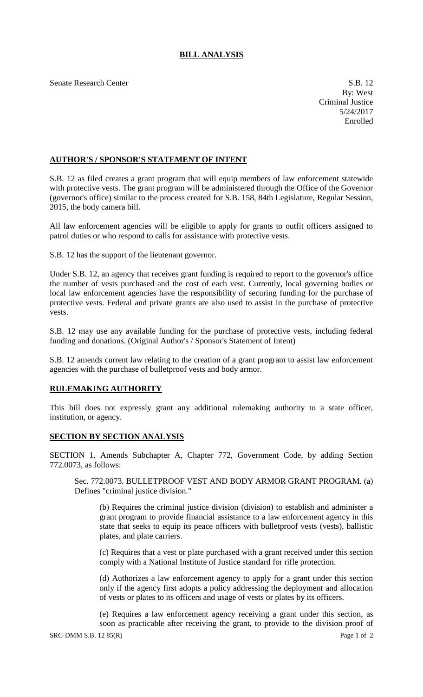## **BILL ANALYSIS**

Senate Research Center S.B. 12

## **AUTHOR'S / SPONSOR'S STATEMENT OF INTENT**

S.B. 12 as filed creates a grant program that will equip members of law enforcement statewide with protective vests. The grant program will be administered through the Office of the Governor (governor's office) similar to the process created for S.B. 158, 84th Legislature, Regular Session, 2015, the body camera bill.

All law enforcement agencies will be eligible to apply for grants to outfit officers assigned to patrol duties or who respond to calls for assistance with protective vests.

S.B. 12 has the support of the lieutenant governor.

Under S.B. 12, an agency that receives grant funding is required to report to the governor's office the number of vests purchased and the cost of each vest. Currently, local governing bodies or local law enforcement agencies have the responsibility of securing funding for the purchase of protective vests. Federal and private grants are also used to assist in the purchase of protective vests.

S.B. 12 may use any available funding for the purchase of protective vests, including federal funding and donations. (Original Author's / Sponsor's Statement of Intent)

S.B. 12 amends current law relating to the creation of a grant program to assist law enforcement agencies with the purchase of bulletproof vests and body armor.

## **RULEMAKING AUTHORITY**

This bill does not expressly grant any additional rulemaking authority to a state officer, institution, or agency.

## **SECTION BY SECTION ANALYSIS**

SECTION 1. Amends Subchapter A, Chapter 772, Government Code, by adding Section 772.0073, as follows:

Sec. 772.0073. BULLETPROOF VEST AND BODY ARMOR GRANT PROGRAM. (a) Defines "criminal justice division."

(b) Requires the criminal justice division (division) to establish and administer a grant program to provide financial assistance to a law enforcement agency in this state that seeks to equip its peace officers with bulletproof vests (vests), ballistic plates, and plate carriers.

(c) Requires that a vest or plate purchased with a grant received under this section comply with a National Institute of Justice standard for rifle protection.

(d) Authorizes a law enforcement agency to apply for a grant under this section only if the agency first adopts a policy addressing the deployment and allocation of vests or plates to its officers and usage of vests or plates by its officers.

 $SRC-DMM S.B. 12 85(R)$  Page 1 of 2 (e) Requires a law enforcement agency receiving a grant under this section, as soon as practicable after receiving the grant, to provide to the division proof of